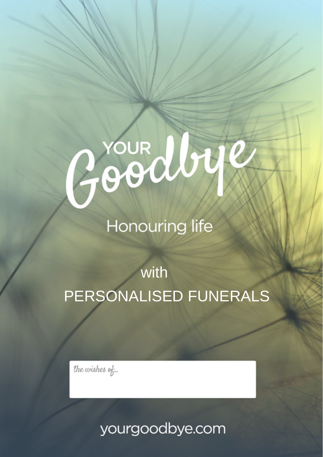# JYOUR Aby

# **Honouring life**

# with PERSONALISED FUNERALS

the wishes of...

yourgoodbye.com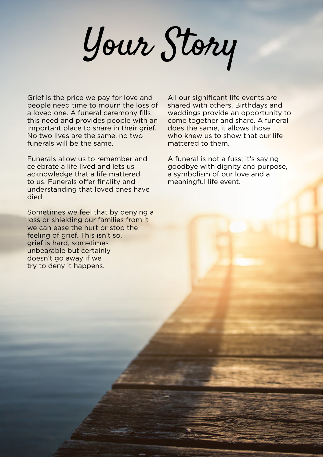Your Story

Grief is the price we pay for love and people need time to mourn the loss of a loved one. A funeral ceremony fills this need and provides people with an important place to share in their grief. No two lives are the same, no two funerals will be the same.

Funerals allow us to remember and celebrate a life lived and lets us acknowledge that a life mattered to us. Funerals offer finality and understanding that loved ones have died.

Sometimes we feel that by denying a loss or shielding our families from it we can ease the hurt or stop the feeling of grief. This isn't so, grief is hard, sometimes unbearable but certainly doesn't go away if we try to deny it happens.

All our significant life events are shared with others. Birthdays and weddings provide an opportunity to come together and share. A funeral does the same, it allows those who knew us to show that our life mattered to them.

A funeral is not a fuss; it's saying goodbye with dignity and purpose, a symbolism of our love and a meaningful life event.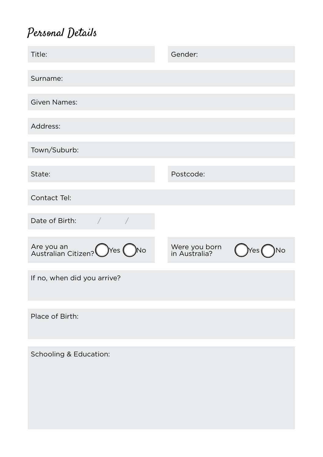#### Personal Details

| Title:                                     | Gender:                        |                    |
|--------------------------------------------|--------------------------------|--------------------|
| Surname:                                   |                                |                    |
| <b>Given Names:</b>                        |                                |                    |
| Address:                                   |                                |                    |
| Town/Suburb:                               |                                |                    |
| State:                                     | Postcode:                      |                    |
| Contact Tel:                               |                                |                    |
| Date of Birth:<br>$\sqrt{2}$<br>$\sqrt{2}$ |                                |                    |
| Are you an<br>Australian Citizen? OYes ONo | Were you born<br>in Australia? | Yes <b>(</b><br>No |
| If no, when did you arrive?                |                                |                    |
| Place of Birth:                            |                                |                    |
| Schooling & Education:                     |                                |                    |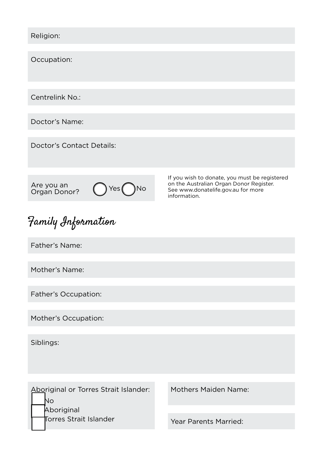Religion:

Occupation:

Centrelink No.:

Doctor's Name:

Doctor's Contact Details:

Are you an<br>Organ Donor?



If you wish to donate, you must be registered on the Australian Organ Donor Register. See www.donatelife.gov.au for more information.

#### Family Information

Father's Name:

Mother's Name:

Father's Occupation:

Mother's Occupation:

Siblings:

Aboriginal or Torres Strait Islander: No Aboriginal Torres Strait Islander

Mothers Maiden Name:

Year Parents Married: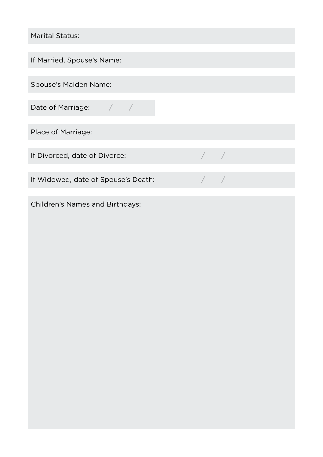Marital Status:

If Married, Spouse's Name:

Spouse's Maiden Name:

Date of Marriage:  $\frac{1}{2}$ 

Place of Marriage:

If Divorced, date of Divorce: */ / / /* 

If Widowed, date of Spouse's Death:  $\sqrt{ }$ 

Children's Names and Birthdays: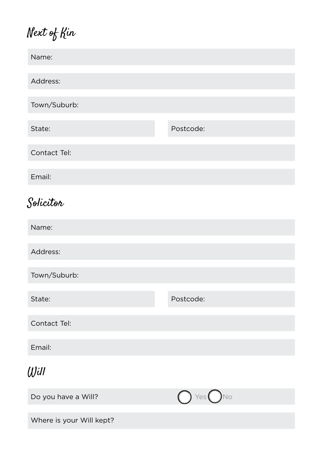## Next of Kin

| Name:                    |           |
|--------------------------|-----------|
| Address:                 |           |
| Town/Suburb:             |           |
| State:                   | Postcode: |
| Contact Tel:             |           |
| Email:                   |           |
| Solicitor                |           |
| Name:                    |           |
| Address:                 |           |
| Town/Suburb:             |           |
| State:                   | Postcode: |
| Contact Tel:             |           |
| Email:                   |           |
| Will                     |           |
| Do you have a Will?      | Yes<br>No |
| Where is your Will kept? |           |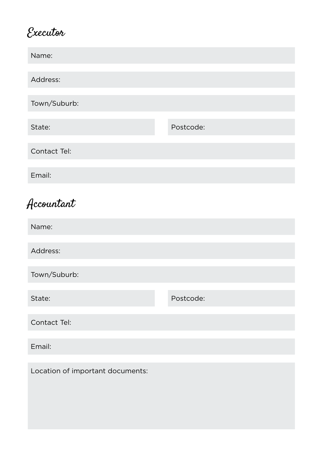#### Executor

| Name:                            |           |
|----------------------------------|-----------|
| Address:                         |           |
| Town/Suburb:                     |           |
| State:                           | Postcode: |
| Contact Tel:                     |           |
| Email:                           |           |
| Accountant                       |           |
| Name:                            |           |
| Address:                         |           |
| Town/Suburb:                     |           |
| State:                           | Postcode: |
| Contact Tel:                     |           |
| Email:                           |           |
| Location of important documents: |           |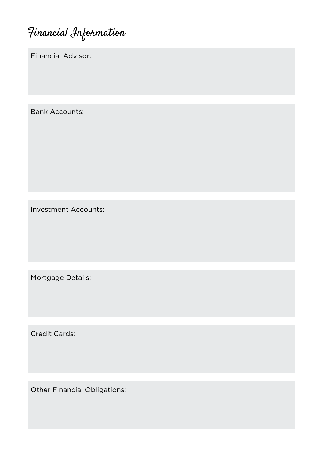Financial Information

Financial Advisor:

Bank Accounts:

Investment Accounts:

Mortgage Details:

Credit Cards:

Other Financial Obligations: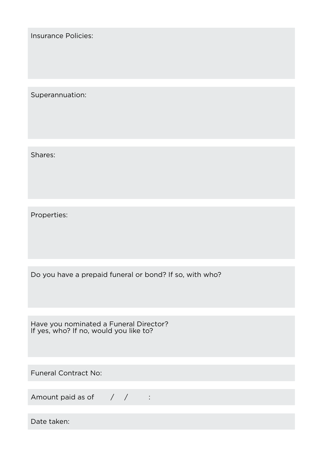Insurance Policies:

Superannuation:

Shares:

Properties:

Do you have a prepaid funeral or bond? If so, with who?

Have you nominated a Funeral Director? If yes, who? If no, would you like to?

Funeral Contract No:

Amount paid as of  $\frac{1}{2}$  /  $\frac{1}{2}$  :

Date taken: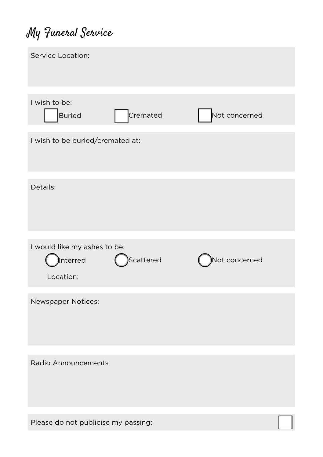## My Funeral Service

| Service Location:                   |           |               |  |
|-------------------------------------|-----------|---------------|--|
|                                     |           |               |  |
| I wish to be:                       |           |               |  |
| <b>Buried</b>                       | Cremated  | Not concerned |  |
| I wish to be buried/cremated at:    |           |               |  |
|                                     |           |               |  |
| Details:                            |           |               |  |
| I would like my ashes to be:        |           |               |  |
| Interred                            | Scattered | Not concerned |  |
| Location:                           |           |               |  |
| Newspaper Notices:                  |           |               |  |
|                                     |           |               |  |
|                                     |           |               |  |
| Radio Announcements                 |           |               |  |
|                                     |           |               |  |
|                                     |           |               |  |
| Please do not publicise my passing: |           |               |  |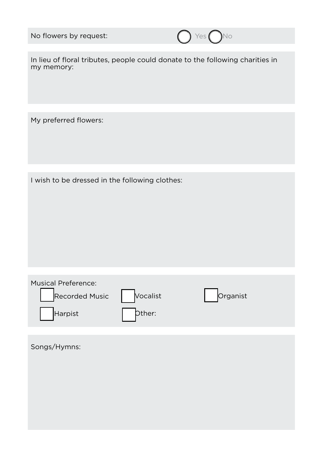|  | No flowers by request: |
|--|------------------------|
|--|------------------------|



In lieu of floral tributes, people could donate to the following charities in my memory:

My preferred flowers:

I wish to be dressed in the following clothes:

| <b>Musical Preference:</b> |          |          |  |
|----------------------------|----------|----------|--|
| <b>Recorded Music</b>      | Vocalist | Organist |  |
| Harpist                    | Dther:   |          |  |

Songs/Hymns: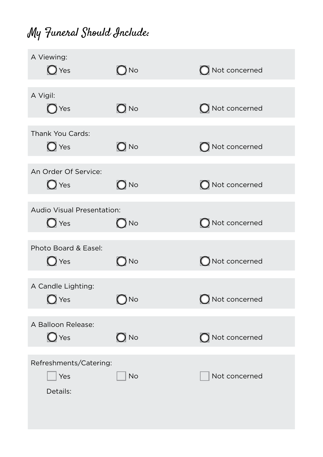## My Funeral Should Include:

| A Viewing:<br>$\bigcirc$ Yes                 | $\bigcirc$ No     | $\bigcap$ Not concerned  |
|----------------------------------------------|-------------------|--------------------------|
| A Vigil:<br>$\bigcirc$ Yes                   | $\bigcirc$ No     | $\bigcirc$ Not concerned |
| Thank You Cards:<br>$\bigcirc$ Yes           | $\overline{O}$ No | O Not concerned          |
| An Order Of Service:<br>$\bigcirc$ Yes       | $\bigcirc$ No     | O Not concerned          |
| Audio Visual Presentation:<br>$\bigcirc$ Yes | $\bigcirc$ No     | O Not concerned          |
| Photo Board & Easel:<br>$\bigcirc$ Yes       | $\bigcirc$ No     | ONot concerned           |
| A Candle Lighting:<br>$\bigcirc$ Yes         | $\bigcirc$ No     | $\bigcap$ Not concerned  |
| A Balloon Release:<br>$\bigcirc$ Yes         | $\bigcirc$ No     | $\bigcap$ Not concerned  |
| Refreshments/Catering:<br>Yes<br>Details:    | <b>No</b>         | Not concerned            |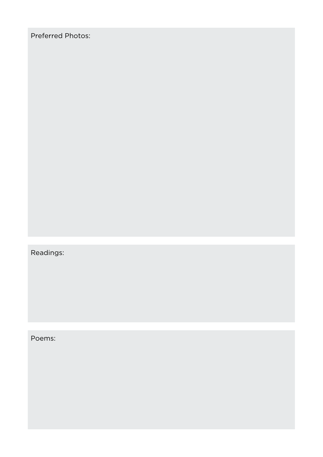Preferred Photos:

Readings:

Poems: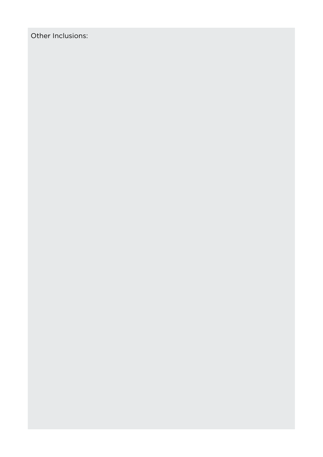Other Inclusions: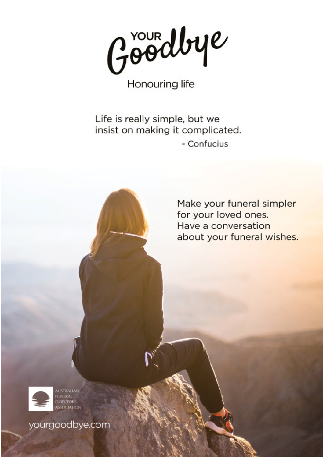Goodbye

**Honouring life** 

Life is really simple, but we insist on making it complicated. - Confucius

> Make your funeral simpler for your loved ones. Have a conversation about your funeral wishes.



yourgoodbye.com